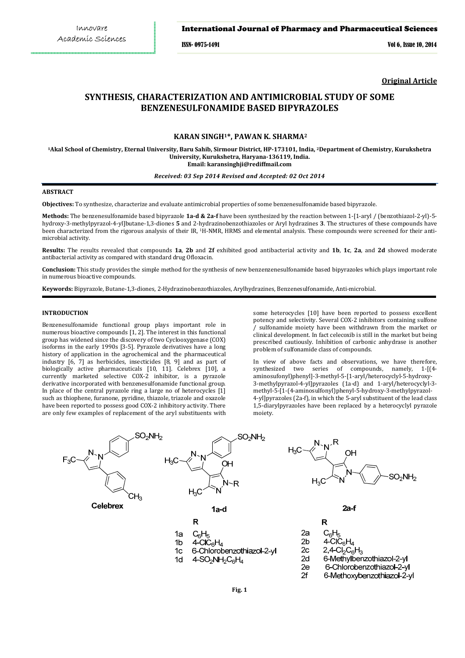### International Journal of Pharmacy and Pharmaceutical Sciences

ISSN- 0975-1491 Vol 6, Issue 10, 2014

**Original Article**

# **SYNTHESIS, CHARACTERIZATION AND ANTIMICROBIAL STUDY OF SOME BENZENESULFONAMIDE BASED BIPYRAZOLES**

# **KARAN SINGH1\*, PAWAN K. SHARMA<sup>2</sup>**

**<sup>1</sup>Akal School of Chemistry, Eternal University, Baru Sahib, Sirmour District, HP-173101, India, <sup>2</sup>Department of Chemistry, Kurukshetra University, Kurukshetra, Haryana-136119, India. Email: karansinghji@rediffmail.com**

### *Received: 03 Sep 2014 Revised and Accepted: 02 Oct 2014*

### **ABSTRACT**

**Objectives:** To synthesize, characterize and evaluate antimicrobial properties of some benzenesulfonamide based bipyrazole.

**Methods:** The benzenesulfonamide based bipyrazole **1a-d & 2a-f** have been synthesized by the reaction between 1-[1-aryl / (benzothiazol-2-yl)-5 hydroxy-3-methylpyrazol-4-yl]butane-1,3-diones **5** and 2-hydrazinobenzothiazoles or Aryl hydrazines **3**. The structures of these compounds have been characterized from the rigorous analysis of their IR, 1H-NMR, HRMS and elemental analysis. These compounds were screened for their antimicrobial activity.

**Results:** The results revealed that compounds **1a**, **2b** and **2f** exhibited good antibacterial activity and **1b**, **1c**, **2a**, and **2d** showed moderate antibacterial activity as compared with standard drug Ofloxacin.

**Conclusion:** This study provides the simple method for the synthesis of new benzenzenesulfonamide based bipyrazoles which plays important role in numerous bioactive compounds.

**Keywords:** Bipyrazole, Butane-1,3-diones, 2-Hydrazinobenzothiazoles, Arylhydrazines, Benzenesulfonamide, Anti-microbial.

#### **INTRODUCTION**

Benzenesulfonamide functional group plays important role in numerous bioactive compounds [1, 2]. The interest in this functional group has widened since the discovery of two Cyclooxygenase (COX) isoforms in the early 1990s [3-5]. Pyrazole derivatives have a long history of application in the agrochemical and the pharmaceutical industry [6, 7] as herbicides, insecticides [8, 9] and as part of biologically active pharmaceuticals [10, 11]. Celebrex [10], a currently marketed selective COX-2 inhibitor, is a pyrazole derivative incorporated with benzenesulfonamide functional group. In place of the central pyrazole ring a large no of heterocycles  $[1]$ such as thiophene, furanone, pyridine, thiazole, triazole and oxazole have been reported to possess good COX-2 inhibitory activity. There are only few examples of replacement of the aryl substituents with some heterocycles [10] have been reported to possess excellent potency and selectivity. Several COX-2 inhibitors containing sulfone / sulfonamide moiety have been withdrawn from the market or clinical development. In fact celecoxib is still in the market but being prescribed cautiously. Inhibition of carbonic anhydrase is another problem of sulfonamide class of compounds.

In view of above facts and observations, we have therefore, synthesized two series of compounds, namely, 1-[(4 aminosufonyl)phenyl]-3-methyl-5-[1-aryl/heterocyclyl-5-hydroxy-3-methylpyrazol-4-yl]pyrazoles (1a-d) and 1-aryl/heterocyclyl-3 methyl-5-[1-(4-aminosulfonyl)phenyl-5-hydroxy-3-methylpyrazol-4-yl]pyrazoles (2a-f), in which the 5-aryl substituent of the lead class 1,5-diarylpyrazoles have been replaced by a heterocyclyl pyrazole moiety.

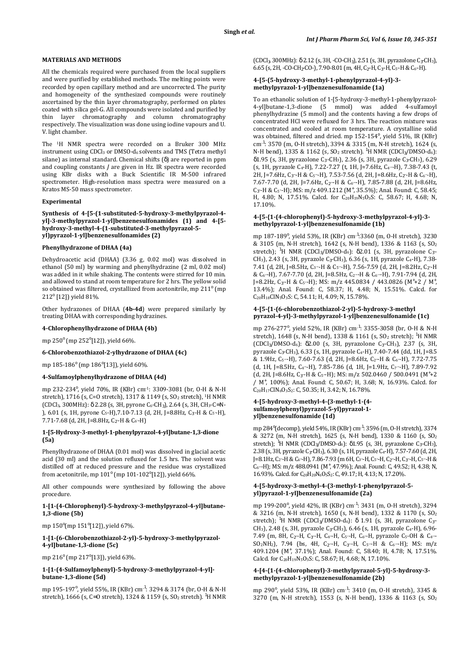### **MATERIALS AND METHODS**

All the chemicals required were purchased from the local suppliers and were purified by established methods. The melting points were recorded by open capillary method and are uncorrected. The purity and homogeneity of the synthesized compounds were routinely ascertained by the thin layer chromatography, performed on plates coated with silica gel-G. All compounds were isolated and purified by thin layer chromatography and column chromatography respectively. The visualization was done using iodine vapours and U. V. light chamber.

The 1H NMR spectra were recorded on a Bruker 300 MHz instrument using  $CDCl<sub>3</sub>$  or DMSO- $d<sub>6</sub>$  solvents and TMS (Tetra methyl silane) as internal standard. Chemical shifts (δ) are reported in ppm and coupling constants *J* are given in Hz. IR spectra were recorded using KBr disks with a Buck Scientific IR M-500 infrared spectrometer. High-resolution mass spectra were measured on a Kratos MS-50 mass spectrometer.

#### **Experimental**

**Synthesis of 4-[5-(1-substituted-5-hydroxy-3-methylpyrazol-4 yl]-3-methylpyrazol-1-yl]benzenesulfonamides (1) and 4-[5 hydroxy-3-methyl-4-(1-substituted-3-methylpyrazol-5 yl)pyrazol-1-yl]benzenesulfonamides (2)** 

### **Phenylhydrazone of DHAA (4a)**

Dehydroacetic acid (DHAA) (3.36 g, 0.02 mol) was dissolved in ethanol (50 ml) by warming and phenylhydrazine (2 ml, 0.02 mol) was added in it while shaking. The contents were stirred for 10 min. and allowed to stand at room temperature for 2 hrs. The yellow solid so obtained was filtered, crystallized from acetonitrile, mp  $211^{\circ}$  (mp 212<sup>°</sup> [12]) yield 81%.

Other hydrazones of DHAA (**4b-4d**) were prepared similarly by treating DHAA with corresponding hydrazines.

#### **4-Chlorophenylhydrazone of DHAA (4b)**

mp 250° (mp 252°[12]), yield 66%.

#### **6-Chlorobenzothiazol-2-ylhydrazone of DHAA (4c)**

mp 185-186<sup>°</sup> (mp 186<sup>°</sup>[13]), yield 60%.

#### **4-Sulfamoylphenylhydrazone of DHAA (4d)**

mp 232-234°, yield 70%, IR (KBr) cm<sup>-1</sup>: 3309-3081 (br, 0-H & N-H stretch), 1716 (s, C=O stretch), 1317 & 1149 (s, SO<sub>2</sub> stretch), <sup>1</sup>H NMR (CDCl<sub>3</sub>, 300MHz): δ 2.28 (s, 3H, pyrone C<sub>6</sub>-CH<sub>3</sub>), 2.64 (s, 3H, CH<sub>3</sub>-C=N-), 6.01 (s, 1H, pyrone C<sub>5</sub>-H), 7.10-7.13 (d, 2H, J=8.8Hz, C<sub>3</sub><sup>-</sup>H & C<sub>5</sub><sup>-</sup>H), 7.71-7.68 (d, 2H, J=8.8Hz, C<sub>2</sub> $-H & C_{6}H$ )

### **1-[5-Hydroxy-3-methyl-1-phenylpyrazol-4-yl]butane-1,3-dione (5a)**

Phenylhydrazone of DHAA (0.01 mol) was dissolved in glacial acetic acid (30 ml) and the solution refluxed for 1.5 hrs. The solvent was distilled off at reduced pressure and the residue was crystallized from acetonitrile, mp  $101^\circ$  (mp  $101$ - $102^\circ$ [12]), yield 66%.

All other compounds were synthesized by following the above procedure.

#### **1-[1-(4-Chlorophenyl)-5-hydroxy-3-methylpyrazol-4-yl]butane-1,3-dione (5b)**

mp 150°(mp 151°[12]), yield 67%.

**1-[1-(6-Chlorobenzothiazol-2-yl)-5-hydroxy-3-methylpyrazol-4-yl]butane-1,3-dione (5c)** 

mp 216° (mp 217°[13]), yield 63%.

### **1-[1-(4-Sulfamoylphenyl)-5-hydroxy-3-methylpyrazol-4-yl] butane-1,3-dione (5d)**

mp 195-197°, yield 55%, IR (KBr) cm<sup>.1</sup>: 3294 & 3174 (br, 0-H & N-H stretch),  $1666$  (s, C=O stretch),  $1324$  &  $1159$  (s, SO<sub>2</sub> stretch), <sup>1</sup>H NMR  $(CDCl<sub>3</sub>, 300MHz): \delta 2.12$  (s, 3H, -CO-CH<sub>3</sub>), 2.51 (s, 3H, pyrazolone C<sub>3</sub>-CH<sub>3</sub>), 6.65 (s, 2H, -CO-CH<sub>2</sub>-CO-), 7.90-8.01 (m, 4H, C<sub>2</sub><sup>-</sup>H, C<sub>3</sub><sup>-</sup>H, C<sub>5</sub><sup>-H</sup> & C<sub>6</sub><sup>-</sup>H).

### **4-[5-(5-hydroxy-3-methyl-1-phenylpyrazol-4-yl)-3 methylpyrazol-1-yl]benzenesulfonamide (1a)**

To an ethanolic solution of 1-[5-hydroxy-3-methyl-1-phenylpyrazol-4-yl]butane-1,3-dione (5 mmol) was added 4-sulfamoyl phenylhydrazine (5 mmol) and the contents having a few drops of concentrated HCl were refluxed for 3 hrs. The reaction mixture was concentrated and cooled at room temperature. A crystalline solid was obtained, filtered and dried. mp 152-154°, yield 51%, IR (KBr) cm-1 : 3570 (m, O-H stretch), 3394 & 3315 (m, N-H stretch), 1624 (s, N-H bend), 1335 & 1162 (s,  $SO_2$  stretch). <sup>1</sup>H NMR (CDCl<sub>3</sub>/DMSO-d<sub>6</sub>): δ1.95 (s, 3H, pyrazolone C<sub>3</sub> $-CH_3$ ), 2.36 (s, 3H, pyrazole C<sub>3</sub> $-CH_3$ ), 6.29 (s, 1H, pyrazole C4-H), 7.22-7.27 (t, 1H, J=7.6Hz, C<sup>4</sup>′″-H), 7.38-7.43 (t, 2H, J=7.6Hz, C<sub>3</sub><sup>*m*-H & C<sub>5</sub><sup>*m*</sup>-H), 7.53-7.56 (d, 2H, J=8.6Hz, C<sub>2</sub><sup>*n*</sup>-H & C<sub>6</sub><sup>*n*</sup>-H),</sup> 7.67-7.70 (d, 2H, J=7.6Hz, C<sub>2</sub><sup>*m*-H & C<sub>6</sub>*m*-H), 7.85-7.88 (d, 2H, J=8.6Hz,</sup> C<sub>3</sub><sup>--</sup>H & C<sub>5</sub><sup>--</sup>H); MS: m/z 409.1212 (M<sup>+</sup>, 35.5%); Anal. Found: C, 58.45; H, 4.80; N, 17.51%. Calcd. for C<sub>20</sub>H<sub>19</sub>N<sub>5</sub>O<sub>3</sub>S: C, 58.67; H, 4.68; N, 17.10%.

### **4-[5-{1-(4-chlorophenyl)-5-hydroxy-3-methylpyrazol-4-yl}-3 methylpyrazol-1-yl]benzenesulfonamide (1b)**

mp 187-189°, yield 53%, IR (KBr) cm<sup>.1</sup>:3360 (m, 0-H stretch), 3230 & 3105 (m, N-H stretch), 1642 (s, N-H bend), 1336 & 1163 (s, SO<sup>2</sup> stretch); <sup>1</sup>H NMR (CDCl<sub>3</sub>/DMSO-d<sub>6</sub>):  $\delta$ 2.01 (s, 3H, pyrazolone C<sub>3</sub>-CH<sub>3</sub>), 2.43 (s, 3H, pyrazole C<sub>3</sub>-CH<sub>3</sub>), 6.36 (s, 1H, pyrazole C<sub>4</sub>-H), 7.38-7.41 (d, 2H, J=8.5Hz, C<sub>3″</sub>-H & C<sub>5″</sub>-H), 7.56-7.59 (d, 2H, J=8.2Hz, C<sub>2″</sub>-H & C<sup>6</sup>″-H), 7.67-7.70 (d, 2H, J=8.5Hz, C<sup>2</sup>′″-H & C<sup>6</sup>′″-H), 7.91-7.94 (d, 2H, J=8.2Hz,  $C_{3}$ <sup>-</sup>H &  $C_{5}$ <sup>--</sup>H); MS: m/z 445.0834 / 443.0826 (M<sup>+</sup>+2 / M<sup>+</sup>, 13.4%); Anal. Found: C, 58.37; H, 4.48; N, 15.51%. Calcd. for C20H18ClN5O3S: C, 54.11; H, 4.09; N, 15.78%.

#### **4-[5-{1-(6-chlorobenzothiazol-2-yl)-5-hydroxy-3-methyl pyrazol-4-yl}-3-methylpyrazol-1-yl]benzenesulfonamide (1c)**

mp 276-277°, yield 52%, IR (KBr) cm<sup>-1</sup>: 3355-3058 (br, 0-H & N-H stretch), 1648 (s, N-H bend), 1338 & 1161 (s,  $SO_2$  stretch); <sup>1</sup>H NMR (CDCl3/DMSO-d6): δ2.00 (s, 3H, pyrazolone C3′-CH3), 2.37 (s, 3H, pyrazole C3-CH3), 6.33 (s, 1H, pyrazole C4-H), 7.40-7.44 (dd, 1H, J=8.5 & 1.9Hz, C<sup>5</sup>′″-H), 7.60-7.63 (d, 2H, J=8.6Hz, C<sup>2</sup>″-H & C<sup>6</sup>″-H), 7.72-7.75 (d, 1H, J=8.5Hz, C<sup>4</sup>′″-H), 7.85-7.86 (d, 1H, J=1.9Hz, C<sup>7</sup>′″-H), 7.89-7.92 (d, 2H, J=8.6Hz, C<sub>3"</sub>-H & C<sub>5"</sub>-H); MS: m/z 502.0460 / 500.0491 (M<sup>+</sup>+2 / M<sup>+</sup> , 100%); Anal. Found: C, 50.67; H, 3.68; N, 16.93%. Calcd. for  $C_{20}H_{17}CIN_6O_3S_2$ : C, 50.35; H, 3.42; N, 16.78%

### **4-[5-hydroxy-3-methyl-4-{3-methyl-1-(4 sulfamoylphenyl)pyrazol-5-yl}pyrazol-1 yl]benzenesulfonamide (1d)**

mp 284°(decomp), yield 54%, IR (KBr) cm<sup>.1</sup>: 3596 (m, O-H stretch), 3374 & 3272 (m, N-H stretch), 1625 (s, N-H bend), 1330 & 1160 (s, SO<sup>2</sup> stretch); <sup>1</sup>H NMR (CDCl<sub>3</sub>/DMSO-d<sub>6</sub>):  $\delta$ 1.95 (s, 3H, pyrazolone C<sub>3</sub>-CH<sub>3</sub>), 2.38 (s, 3H, pyrazole C<sub>3</sub>-CH<sub>3</sub>), 6.30 (s, 1H, pyrazole C<sub>4</sub>-H), 7.57-7.60 (d, 2H, J=8.1Hz, C2"-H & C6"-H), 7.86-7.93 (m 6H, C3"-H, C5"-H, C2"-H, C3"-H, C5"-H & C<sub>6</sub><sup>m-</sup>H); MS: m/z 488.0941 (M<sup>+</sup>, 47.9%); Anal. Found: C, 49.52; H, 4.38; N, 16.93%. Calcd. for C20H20N6O5S2: C, 49.17; H, 4.13; N, 17.20%.

### **4-[5-hydroxy-3-methyl-4-(3-methyl-1-phenylpyrazol-5 yl)pyrazol-1-yl]benzenesulfonamide (2a)**

mp 199-200°, yield 42%, IR (KBr) cm<sup>.1</sup>: 3431 (m, O-H stretch), 3294 & 3216 (m, N-H stretch), 1650 (s, N-H bend), 1332 & 1170 (s, SO<sup>2</sup> stretch); <sup>1</sup>H NMR (CDCl<sub>3</sub>/DMSO-d<sub>6</sub>): δ 1.91 (s, 3H, pyrazolone C<sub>3</sub>-CH<sub>3</sub>), 2.48 (s, 3H, pyrazole C<sub>3</sub>-CH<sub>3</sub>), 6.46 (s, 1H, pyrazole C<sub>4</sub>-H), 6.96-7.49 (m, 8H, C<sub>2</sub><sup>--</sup>H, C<sub>3</sub><sup>--</sup>H, C<sub>4</sub><sup>--</sup>H, C<sub>5</sub><sup>--</sup>H, C<sub>6</sub><sup>--</sup>H, pyrazole C<sub>5</sub>-OH & C<sub>4</sub><sup>---</sup>  $SO_2NH_2$ ), 7.94 (bs, 4H, C<sub>2</sub><sup>*m*-H, C<sub>3</sub><sup>*m*-H, C<sub>5</sub><sup>*m*-H & C<sub>6</sub><sup>*m*-H</sup>); MS: m/z</sup></sup></sup> 409.1204 (M<sup>+</sup> , 37.1%); Anal. Found: C, 58.40; H, 4.78; N, 17.51%. Calcd. for C<sub>20</sub>H<sub>19</sub>N<sub>5</sub>O<sub>3</sub>S: C, 58.67; H, 4.68; N, 17.10%.

### **4-[4-{1-(4-chlorophenyl)-3-methylpyrazol-5-yl}-5-hydroxy-3 methylpyrazol-1-yl]benzenesulfonamide (2b)**

mp 290°, yield 53%, IR (KBr) cm<sup>-1</sup>: 3410 (m, 0-H stretch), 3345 & 3270 (m, N-H stretch), 1553 (s, N-H bend), 1336 & 1163 (s, SO2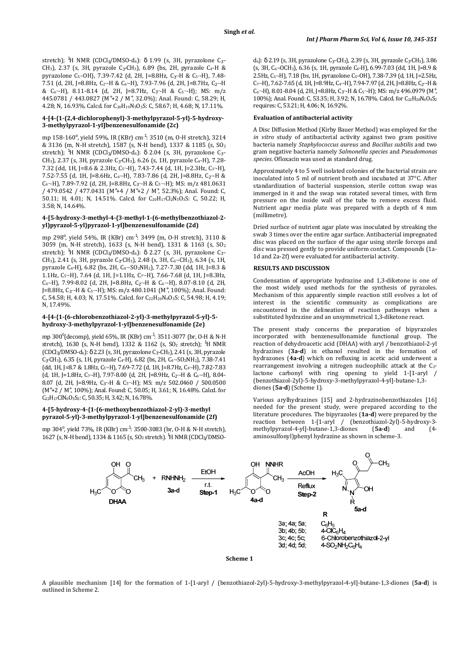stretch); <sup>1</sup>H NMR (CDCl<sub>3</sub>/DMSO-d<sub>6</sub>):  $\delta$  1.99 (s, 3H, pyrazolone C<sub>3</sub> $\sim$ CH<sub>3</sub>), 2.37 (s, 3H, pyrazole C<sub>3</sub>-CH<sub>3</sub>), 6.89 (bs, 2H, pyrazole C<sub>4</sub>-H & pyrazolone C5'-OH), 7.39-7.42 (d, 2H, J=8.8Hz, C<sub>3"</sub>-H & C5"-H), 7.48-7.51 (d, 2H, J=8.8Hz, C<sup>2</sup>″-H & C<sup>6</sup>″-H), 7.93-7.96 (d, 2H, J=8.7Hz, C2′″-H & C<sup>6</sup>′″-H), 8.11-8.14 (d, 2H, J=8.7Hz, C3′″-H & C<sup>5</sup>′″-H); MS: m/z 445.0781 / 443.0827 (M<sup>+</sup>+2 / M<sup>+</sup>, 32.0%); Anal. Found: C, 58.29; H, 4.28; N, 16.93%. Calcd. for C<sub>20</sub>H<sub>19</sub>N<sub>5</sub>O<sub>3</sub>S: C, 58.67; H, 4.68; N, 17.11%.

### **4-[4-{1-(2,4-dichlorophenyl)-3-methylpyrazol-5-yl}-5-hydroxy-3-methylpyrazol-1-yl]benzenesulfonamide (2c)**

mp 158-160°, yield 59%, IR (KBr) cm<sup>.1</sup>: 3510 (m, O-H stretch), 3214 & 3136 (m, N-H stretch), 1587 (s, N-H bend), 1337 & 1185 (s, SO<sup>2</sup> stretch); <sup>1</sup>H NMR (CDCl<sub>3</sub>/DMSO-d<sub>6</sub>):  $\delta$  2.04 (s, 3H, pyrazolone C<sub>3</sub><sup>--</sup> CH<sub>3</sub>), 2.37 (s, 3H, pyrazole C<sub>3</sub>-CH<sub>3</sub>), 6.26 (s, 1H, pyrazole C<sub>4</sub>-H), 7.28-7.32 (dd, 1H, J=8.6 & 2.3Hz, C<sup>5</sup>″-H), 7.43-7.44 (d, 1H, J=2.3Hz, C<sup>3</sup>″-H), 7.52-7.55 (d, 1H, J=8.6Hz, C<sub>6</sub><sup> $-$ </sup>H), 7.83-7.86 (d, 2H, J=8.8Hz, C<sub>2</sub> $-$ -H & C<sub>6</sub><sup>*m*-H</sup>), 7.89-7.92 (d, 2H, J=8.8Hz, C<sub>3</sub><sup>*m*-H & C<sub>5</sub><sup>*m*</sup>-H); MS: m/z 481.0631</sup> / 479.0542 / 477.0431 (M<sup>+</sup>+4 / M<sup>+</sup>+2 / M<sup>+</sup>, 52.3%); Anal. Found: C, 50.11; H, 4.01; N, 14.51%. Calcd. for C20H17Cl2N5O3S: C, 50.22; H, 3.58; N, 14.64%.

### **4-[5-hydroxy-3-methyl-4-{3-methyl-1-(6-methylbenzothiazol-2 yl)pyrazol-5-yl}pyrazol-1-yl]benzenesulfonamide (2d)**

mp 298<sup>ο</sup> , yield 54%, IR (KBr) cm-1 : 3499 (m, O-H stretch), 3110 & 3059 (m, N-H stretch), 1633 (s, N-H bend), 1331 & 1163 (s, SO<sup>2</sup> stretch); <sup>1</sup>H NMR (CDCl<sub>3</sub>/DMSO-d<sub>6</sub>):  $\delta$  2.27 (s, 3H, pyrazolone C<sub>3</sub><sup>--</sup> CH<sub>3</sub>), 2.41 (s, 3H, pyrazole C<sub>3</sub>-CH<sub>3</sub>), 2.48 (s, 3H, C<sub>6″</sub>-CH<sub>3</sub>), 6.34 (s, 1H, pyrazole C4-H), 6.82 (bs, 2H, C<sup>4</sup>′″-SO2NH2), 7.27-7.30 (dd, 1H, J=8.3 & 1.1Hz,  $C_{5}$ <sup> $\sim$ </sup>H), 7.64 (d, 1H, J=1.1Hz,  $C_{7}$  $\sim$ H), 7.66-7.68 (d, 1H, J=8.3Hz, C<sub>4</sub> $-H$ ), 7.99-8.02 (d, 2H, J=8.8Hz, C<sub>2</sub> $-$ H & C<sub>6</sub> $-$ H), 8.07-8.10 (d, 2H, J=8.8Hz, C<sub>3</sub><sup>*m*</sup>-H & C<sub>5</sub><sup>*m*</sup>-H); MS: m/z 480.1041 (M<sup>+</sup>, 100%); Anal. Found: C, 54.58; H, 4.03; N, 17.51%. Calcd. for C<sub>22</sub>H<sub>20</sub>N<sub>6</sub>O<sub>3</sub>S: C, 54.98; H, 4.19; N, 17.49%.

### **4-[4-{1-(6-chlorobenzothiazol-2-yl)-3-methylpyrazol-5-yl}-5 hydroxy-3-methylpyrazol-1-yl]benzenesulfonamide (2e)**

mp 300°(decomp), yield 65%, IR (KBr) cm<sup>-1</sup>: 3511-3077 (br, 0-H & N-H stretch), 1630 (s, N-H bend), 1332 & 1162 (s, SO<sub>2</sub> stretch); <sup>1</sup>H NMR (CDCl3/DMSO-d6): δ 2.23 (s, 3H, pyrazolone C3′-CH3), 2.41 (s, 3H, pyrazole  $C_3$ -CH<sub>3</sub>), 6.35 (s, 1H, pyrazole C<sub>4</sub>-H), 6.82 (bs, 2H, C<sub>4″</sub>-SO<sub>2</sub>NH<sub>2</sub>), 7.38-7.41 (dd, 1H, J=8.7 & 1.8Hz, C<sup>5</sup>″-H), 7.69-7.72 (d, 1H, J=8.7Hz, C<sup>4</sup>″-H), 7.82-7.83 (d, 1H, J=1.8Hz, C7<sup>*n*-</sup>H), 7.97-8.00 (d, 2H, J=8.9Hz, C<sub>2</sub><sup>*m*-H & C<sub>6</sub> $^m$ -H), 8.04-</sup> 8.07 (d, 2H, J=8.9Hz, C<sub>3</sub><sup>*m*-H & C<sub>5</sub><sup>*m*-H</sup>); MS: m/z 502.0460 / 500.0500</sup> (M<sup>+</sup> +2 / M<sup>+</sup> , 100%); Anal. Found: C, 50.05; H, 3.61; N, 16.48%. Calcd. for C22H17ClN6O3S2: C, 50.35; H, 3.42; N, 16.78%.

### **4-[5-hydroxy-4-{1-(6-methoxybenzothiazol-2-yl)-3-methyl pyrazol-5-yl}-3-methylpyrazol-1-yl]benzenesulfonamide (2f)**

mp 304°, yield 73%, IR (KBr) cm<sup>-1</sup>: 3500-3083 (br, O-H & N-H stretch), 1627 (s, N-H bend), 1334 & 1165 (s, SO<sub>2</sub> stretch). <sup>1</sup>H NMR (CDCl<sub>3</sub>/DMSO-  $d_6$ ): δ 2.19 (s, 3H, pyrazolone C<sub>3</sub>-CH<sub>3</sub>), 2.39 (s, 3H, pyrazole C<sub>3</sub>-CH<sub>3</sub>), 3.86 (s, 3H,  $C_{6}$  $-OCH_3$ ), 6.36 (s, 1H, pyrazole  $C_4$ -H), 6.99-7.03 (dd, 1H, J=8.9 & 2.5Hz, C<sup>5</sup>″-H), 7.18 (bs, 1H, pyrazolone C<sup>5</sup>′-OH), 7.38-7.39 (d, 1H, J=2.5Hz,  $C_7$ <sup>-</sup>H), 7.62-7.65 (d, 1H, J=8.9Hz,  $C_4$ <sup>-</sup>H), 7.94-7.97 (d, 2H, J=8.8Hz,  $C_2$ <sup>--</sup>H & C<sub>6</sub><sup>m-</sup>H), 8.01-8.04 (d, 2H, J=8.8Hz, C<sub>3</sub><sup>m-</sup>H & C<sub>5</sub>m-H); MS: m/z 496.0979 (M<sup>+</sup>, 100%); Anal. Found: C, 53.35; H, 3.92; N, 16.78%. Calcd. for C22H20N6O4S2 requires: C, 53.21; H, 4.06; N, 16.92%.

### **Evaluation of antibacterial activity**

A Disc Diffusion Method (Kirby Bauer Method) was employed for the *in vitro* study of antibacterial activity against two gram positive bacteria namely *Staphylococcus aureus* and *Bacillus subtilis* and two gram negative bacteria namely *Salmonella species* and *Pseudomonas species*. Ofloxacin was used as standard drug.

Approximately 4 to 5 well isolated colonies of the bacterial strain are inoculated into 5 ml of nutrient broth and incubated at 37°C. After standardization of bacterial suspension, sterile cotton swap was immerged in it and the swap was rotated several times, with firm pressure on the inside wall of the tube to remove excess fluid. Nutrient agar media plate was prepared with a depth of 4 mm (millimetre).

Dried surface of nutrient agar plate was inoculated by streaking the swab 3 times over the entire agar surface. Antibacterial impregnated disc was placed on the surface of the agar using sterile forceps and disc was pressed gently to provide uniform contact. Compounds (1a-1d and 2a-2f) were evaluated for antibacterial activity.

### **RESULTS AND DISCUSSION**

Condensation of appropriate hydrazine and 1,3-diketone is one of the most widely used methods for the synthesis of pyrazoles. Mechanism of this apparently simple reaction still evolves a lot of interest in the scientific community as complications are encountered in the delineation of reaction pathways when a substituted hydrazine and an unsymmetrical 1,3-diketone react.

The present study concerns the preparation of bipyrazoles incorporated with benzenesulfonamide functional group. The reaction of dehydroacetic acid (DHAA) with aryl / benzothiazol-2-yl hydrazines (**3a-d**) in ethanol resulted in the formation of hydrazones (**4a-d**) which on refluxing in acetic acid underwent a rearrangement involving a nitrogen nucleophilic attack at the C2 lactone carbonyl with ring opening to yield 1-[1-aryl / (benzothiazol-2yl)-5-hydroxy-3-methylpyrazol-4-yl]-butane-1,3 diones (**5a-d**) (Scheme 1).

Various arylhydrazines [15] and 2-hydrazinobenzothiazoles [16] needed for the present study, were prepared according to the literature procedures. The bipyrazoles (**1a-d**) were prepared by the reaction between 1-[1-aryl / (benzothiazol-2yl)-5-hydroxy-3 methylpyrazol-4-yl]-butane-1,3-diones (**5a-d**) and (4 aminosulfonyl)phenyl hydrazine as shown in scheme-3.



A plausible mechanism [14] for the formation of 1-[1-aryl / (benzothiazol-2yl)-5-hydroxy-3-methylpyrazol-4-yl]-butane-1,3-diones (**5a-d**) is outlined in Scheme 2.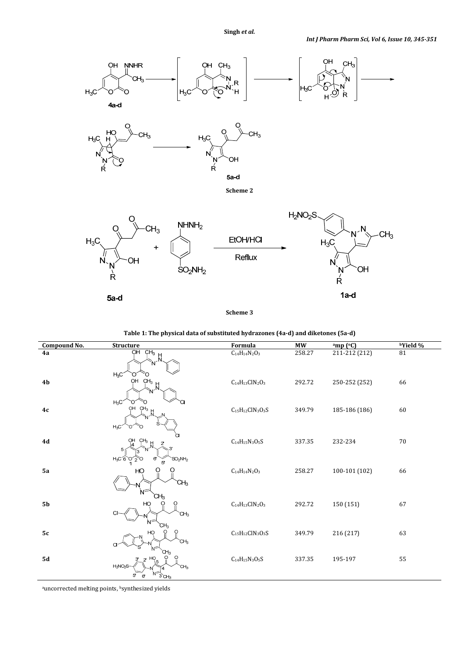

**Scheme 3** 



| Compound No.   | Structure                                                                                    | Formula                     | $\overline{\text{MW}}$ | amp (°C)      | <b>bYield</b> % |
|----------------|----------------------------------------------------------------------------------------------|-----------------------------|------------------------|---------------|-----------------|
| 4a             | $\overline{OH \quad CH_3 \quad H}$<br>$\overline{O}H \quad CH_3 \quad H$<br>$H_3C$<br>∩<br>∩ | $C_{14}H_{14}N_2O_3$        | 258.27                 | 211-212 (212) | $\bf 81$        |
| 4 <sub>b</sub> | $O$<br>$O$ $CH_3$ $H$<br>$H_3C$                                                              | $C_{14}H_{13}C1N_2O_3$      | 292.72                 | 250-252 (252) | 66              |
| 4c             | OH CH <sub>3</sub><br>$\sharp$<br>$H_3C$                                                     | $\rm C_{15}H_{12}CIN_3O_3S$ | 349.79                 | 185-186 (186) | 60              |
| 4d             | $OH$ $CH3$<br>2'<br>$H_3C_6$<br>$SO_2NH_2$<br>6<br>O<br>5                                    | $C_{14}H_{15}N_3O_5S$       | 337.35                 | 232-234       | 70              |
| 5a             | HO<br>CН <sub>3</sub>                                                                        | $C_{14}H_{14}N_2O_3$        | 258.27                 | 100-101 (102) | 66              |
| 5 <sub>b</sub> | CH3<br>HO<br>O<br>CI<br>СH <sub>3</sub><br>`CH <sub>3</sub>                                  | $C_{14}H_{13}C1N_2O_3$      | 292.72                 | 150 (151)     | 67              |
| 5c             | HO<br>CH <sub>3</sub><br>CH <sub>3</sub>                                                     | $C_{15}H_{12}ClN_3O_3S$     | 349.79                 | 216 (217)     | 63              |
| <b>5d</b>      | HO<br>$2^{\prime}$<br>$H_2NO_2S$<br>`CH <sub>3</sub><br>5<br>$3$ CH <sub>3</sub><br>6'       | $\rm{C}_{14}H_{15}N_3O_5S$  | 337.35                 | 195-197       | 55              |

auncorrected melting points, bsynthesized yields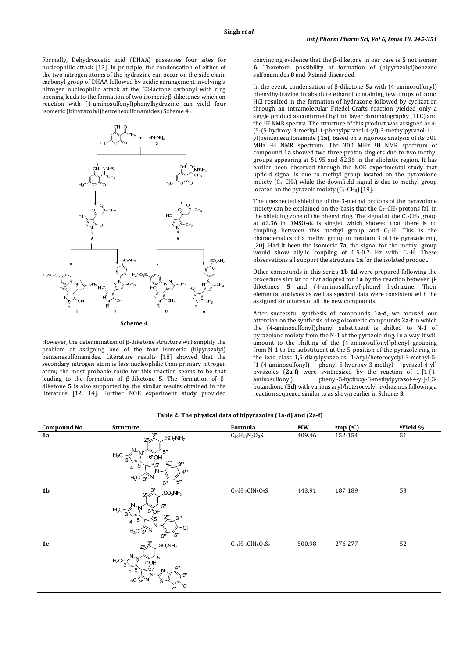Formally, Dehydroacetic acid (DHAA) possesses four sites for nucleophilic attack [17]. In principle, the condensation of either of the two nitrogen atoms of the hydrazine can occur on the side chain carbonyl group of DHAA followed by acidic arrangement involving a nitrogen nucleophilic attack at the C2-lactone carbonyl with ring opening leads to the formation of two isomeric β-diketones which on reaction with (4-aminosulfonyl)phenylhydrazine can yield four isomeric (bipyrazolyl)benzenesulfonamides (Scheme 4).



However, the determination of β-diketone structure will simplify the problem of assigning one of the four isomeric (bipyrazolyl) benzenesulfonamides. Literature results [18] showed that the secondary nitrogen atom is less nucleophilic than primary nitrogen atom; the most probable route for this reaction seems to be that leading to the formation of β-diketone **5**. The formation of βdiketone **5** is also supported by the similar results obtained in the literature [12, 14]. Further NOE experiment study provided convincing evidence that the β-diketone in our case is **5** not isomer **6**. Therefore, possibility of formation of (bipyrazolyl)benzene sulfonamides **8** and **9** stand discarded.

In the event, condensation of β-diketone **5a** with (4-aminosulfonyl) phenylhydrazine in absolute ethanol containing few drops of conc. HCl resulted in the formation of hydrazone followed by cyclization through an intramolecular Friedel-Crafts reaction yielded only a single product as confirmed by thin layer chromatography (TLC) and the 1H NMR spectra. The structure of this product was assigned as 4- [5-(5-hydroxy-3-methyl-1-phenylpyrazol-4-yl)-3-methylpyrazol-1 yl]benzenesulfonamide (**1a**), based on a rigorous analysis of its 300 MHz <sup>1</sup>H NMR spectrum. The 300 MHz <sup>1</sup>H NMR spectrum of compound **1a** showed two three-proton singlets due to two methyl groups appearing at δ1.95 and δ2.36 in the aliphatic region. It has earlier been observed through the NOE experimental study that upfield signal is due to methyl group located on the pyrazolone moiety  $(C_3 - CH_3)$  while the downfield signal is due to methyl group located on the pyrazole moiety (C<sub>3</sub>-CH<sub>3</sub>) [19].

The unexpected shielding of the 3-methyl protons of the pyrazolone moiety can be explained on the basis that the  $C_3$ -CH<sub>3</sub> protons fall in the shielding zone of the phenyl ring. The signal of the C<sub>3</sub>-CH<sub>3</sub> group at  $δ2.36$  in DMSO- $d<sub>6</sub>$  is singlet which showed that there is no coupling between this methyl group and  $C_4$ -H. This is the characteristics of a methyl group in position 3 of the pyrazole ring [20]. Had it been the isomeric  $7a$ , the signal for the methyl group would show allylic coupling of  $0.5-0.7$  Hz with  $C_4$ -H. These observations all support the structure **1a** for the isolated product.

Other compounds in this series **1b-1d** were prepared following the procedure similar to that adopted for **1a** by the reaction between βdiketones **5** and (4-aminosulfonyl)phenyl hydrazine. Their elemental analyses as well as spectral data were consistent with the assigned structures of all the new compounds.

After successful synthesis of compounds **1a-d**, we focused our attention on the synthesis of regioisomeric compounds **2a-f** in which the (4-aminosulfonyl)phenyl substituent is shifted to N-1 of pyrazolone moiety from the N-1 of the pyrazole ring. In a way it will amount to the shifting of the (4-aminosulfonyl)phenyl grouping from N-1 to the substituent at the 5-position of the pyrazole ring in the lead class 1,5-diarylpyrazoles. 1-Aryl/heterocyclyl-3-methyl-5- [1-(4-aminosulfonyl] phenyl-5-hydroxy-3-methyl pyrazol-4-yl] pyrazoles (**2a-f**) were synthesized by the reaction of 1-[1-(4 aminosulfonyl) phenyl-5-hydroxy-3-methylpyrazol-4-yl]-1,3 butandione (**5d**) with various aryl/heterocyclyl hydrazines following a reaction sequence similar to as shown earlier in Scheme **3**.

| Compound No.   | <b>Structure</b>                                                                                                                                  | Formula                                                       | <b>MW</b> | amp (°C) | <b>bYield</b> % |
|----------------|---------------------------------------------------------------------------------------------------------------------------------------------------|---------------------------------------------------------------|-----------|----------|-----------------|
| 1a             | 3"<br>SO <sub>2</sub> NH <sub>2</sub><br>2"<br>$N_{\sim N}$<br>5"<br>$H_3C$<br>6"OH<br>2"<br>3"<br>ч,<br>5<br>4<br>4"'<br>$H_3C_3$<br>ั5'''<br>6" | $\rm{C}_{20}H_{19}N_5O_3S$                                    | 409.46    | 152-154  | 51              |
| 1 <sub>b</sub> | $2^{3''}$<br>$SO_2$ NH <sub>2</sub><br>5"<br>$H_3C$<br>6"OH<br>ייר<br>$3^{\cdots}$<br>5<br>$\overline{4}$<br>СI<br>$H_3C_3N$<br>ั5""<br>6"        | $\rm{C}_{20}H_{18}CIN_5O_3S$                                  | 443.91    | 187-189  | 53              |
| 1c             | 3"<br>$SO_2$ NH <sub>2</sub><br>$\overline{z}$<br>$5^{\circ}$<br>$H_3C$ -<br>6"OH<br>3<br>4"<br>51<br>$4^{5}$<br>5"<br>$H_3C_3$ N<br>`Cl<br>7.5   | $\rm{C}_{21}\rm{H}_{17}\rm{C}l\rm{N}_{6}\rm{O}_{3}\rm{S}_{2}$ | 500.98    | 276-277  | 52              |

#### **Table 2: The physical data of bipyrazoles (1a-d) and (2a-f)**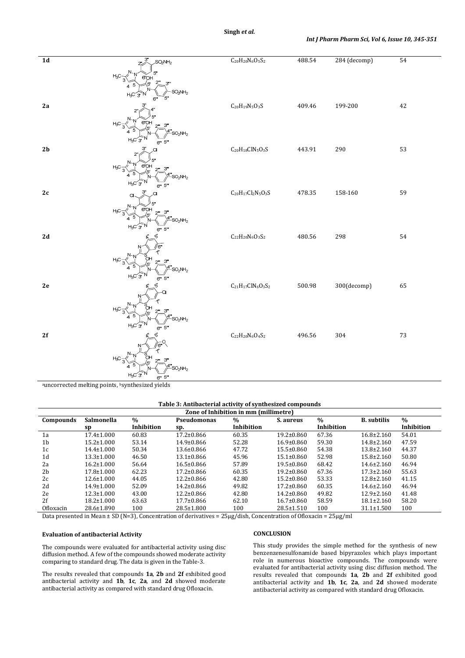# **Singh** *et al.*

| $\overline{1d}$ | 3<br>SO <sub>2</sub> NH <sub>2</sub>                                       | $C_{20}H_{20}N_6O_5S_2$                                       | 488.54 | 284 (decomp) | 54 |
|-----------------|----------------------------------------------------------------------------|---------------------------------------------------------------|--------|--------------|----|
|                 | $H_3C$<br>3"<br>4<br>SO <sub>2</sub> NH <sub>2</sub><br>H3C<br>5"<br>6"    |                                                               |        |              |    |
| 2a              | $H_3C$<br>3"<br>$SO_2NH_2$                                                 | $\rm{C}_{20}H_{19}N_5O_3S$                                    | 409.46 | 199-200      | 42 |
| 2 <sub>b</sub>  | 6" 5"<br>$H_3C$<br>3"<br>$SO_2NH_2$                                        | $\rm{C}_{20}H_{18}CIN_5O_3S$                                  | 443.91 | 290          | 53 |
| $2\mathfrak{c}$ | 6" 5"<br>ഭ"വ⊢<br>$H_3C$<br>з"<br>4"<br>$SO_2NH_2$<br>$H_3C$                | $\rm{C}_{20}H_{17}Cl_2N_5O_3S$                                | 478.35 | 158-160      | 59 |
| $2\,\mathrm{d}$ | 6" 5"<br>$H_3C$<br>بە<br>SO <sub>2</sub> NH <sub>2</sub><br>H <sub>3</sub> | $C_{22}H_{20}N_6O_3S_2$                                       | 480.56 | 298          | 54 |
| $2\mathsf{e}$   | $6''''$ 5"<br>$\mathsf{H}_3\mathsf{C}$<br>٦<br>$SO_2NH_2$<br>$H_3C_3$      | $\rm{C}_{21}\rm{H}_{17}\rm{C}l\rm{N}_{6}\rm{O}_{3}\rm{S}_{2}$ | 500.98 | 300(decomp)  | 65 |
| 2f              | 6" 5"<br>$H_3C$<br>SO <sub>2</sub> NH <sub>2</sub><br>H3C<br>6" 5"         | $C_{22}H_{20}N_6O_4S_2$                                       | 496.56 | 304          | 73 |

auncorrected melting points, bsynthesized yields

### **Table 3: Antibacterial activity of synthesized compounds**

| Zone of Inhibition in mm (millimetre) |                  |            |                  |               |                  |            |                    |               |
|---------------------------------------|------------------|------------|------------------|---------------|------------------|------------|--------------------|---------------|
| Compounds                             | Salmonella       | $\%$       | Pseudomonas      | $\frac{0}{0}$ | S. aureus        | $\%$       | <b>B.</b> subtilis | $\frac{0}{0}$ |
|                                       | sp               | Inhibition | Sp.              | Inhibition    |                  | Inhibition |                    | Inhibition    |
| 1a                                    | $17.4 \pm 1.000$ | 60.83      | $17.2 \pm 0.866$ | 60.35         | $19.2 \pm 0.860$ | 67.36      | $16.8 \pm 2.160$   | 54.01         |
| 1 <sub>b</sub>                        | $15.2 \pm 1.000$ | 53.14      | $14.9 \pm 0.866$ | 52.28         | $16.9 \pm 0.860$ | 59.30      | $14.8 \pm 2.160$   | 47.59         |
| 1c                                    | $14.4 \pm 1.000$ | 50.34      | $13.6 \pm 0.866$ | 47.72         | $15.5 \pm 0.860$ | 54.38      | $13.8 \pm 2.160$   | 44.37         |
| 1d                                    | $13.3 \pm 1.000$ | 46.50      | $13.1 \pm 0.866$ | 45.96         | $15.1 \pm 0.860$ | 52.98      | $15.8 \pm 2.160$   | 50.80         |
| 2a                                    | $16.2 \pm 1.000$ | 56.64      | $16.5 \pm 0.866$ | 57.89         | $19.5 \pm 0.860$ | 68.42      | $14.6 \pm 2.160$   | 46.94         |
| 2 <sub>b</sub>                        | $17.8 \pm 1.000$ | 62.23      | $17.2 \pm 0.866$ | 60.35         | $19.2 \pm 0.860$ | 67.36      | $17.3 \pm 2.160$   | 55.63         |
| 2c                                    | $12.6 \pm 1.000$ | 44.05      | $12.2 \pm 0.866$ | 42.80         | $15.2 \pm 0.860$ | 53.33      | $12.8 \pm 2.160$   | 41.15         |
| 2d                                    | $14.9 \pm 1.000$ | 52.09      | $14.2 \pm 0.866$ | 49.82         | $17.2 \pm 0.860$ | 60.35      | $14.6 \pm 2.160$   | 46.94         |
| 2e                                    | $12.3 \pm 1.000$ | 43.00      | $12.2 \pm 0.866$ | 42.80         | $14.2 \pm 0.860$ | 49.82      | $12.9 \pm 2.160$   | 41.48         |
| 2f                                    | $18.2 \pm 1.000$ | 63.63      | $17.7 \pm 0.866$ | 62.10         | $16.7 \pm 0.860$ | 58.59      | $18.1 \pm 2.160$   | 58.20         |
| Ofloxacin                             | 28.6±1.890       | 100        | $28.5 \pm 1.800$ | 100           | $28.5 \pm 1.510$ | 100        | $31.1 \pm 1.500$   | 100           |

Data presented in Mean  $\pm$  SD (N=3), Concentration of derivatives =  $25\mu g/dish$ , Concentration of Ofloxacin =  $25\mu g/ml$ 

#### **Evaluation of antibacterial Activity**

The compounds were evaluated for antibacterial activity using disc diffusion method. A few of the compounds showed moderate activity comparing to standard drug. The data is given in the Table-3.

The results revealed that compounds **1a**, **2b** and **2f** exhibited good antibacterial activity and **1b**, **1c**, **2a**, and **2d** showed moderate antibacterial activity as compared with standard drug Ofloxacin.

### **CONCLUSION**

This study provides the simple method for the synthesis of new benzenzenesulfonamide based bipyrazoles which plays important role in numerous bioactive compounds. The compounds were evaluated for antibacterial activity using disc diffusion method. The results revealed that compounds **1a**, **2b** and **2f** exhibited good antibacterial activity and **1b**, **1c**, **2a**, and **2d** showed moderate antibacterial activity as compared with standard drug Ofloxacin.